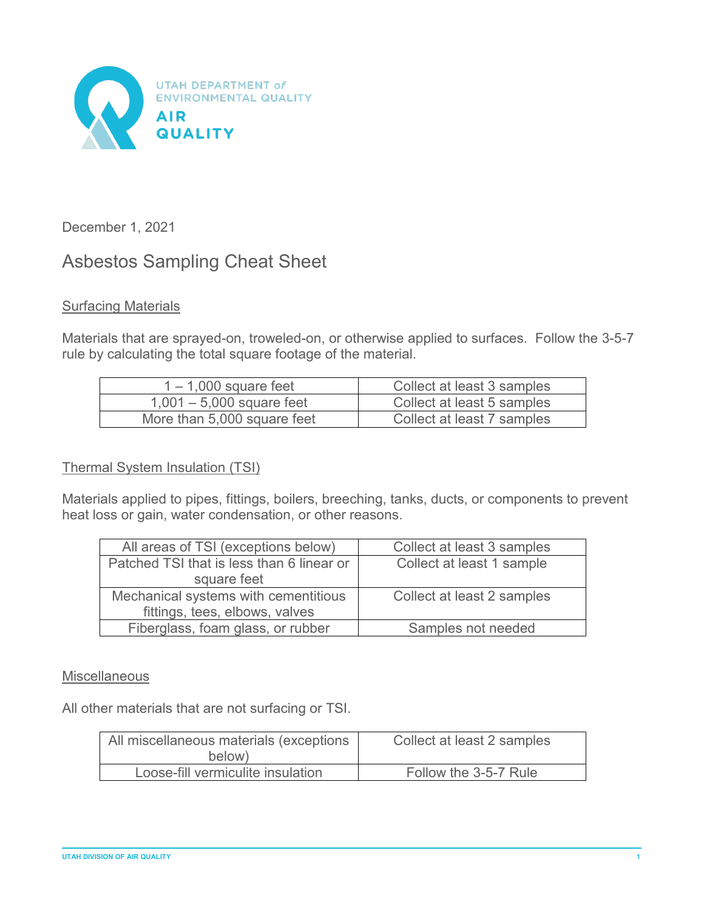

December 1, 2021

# Asbestos Sampling Cheat Sheet

# **Surfacing Materials**

Materials that are sprayed-on, troweled-on, or otherwise applied to surfaces. Follow the 3-5-7 rule by calculating the total square footage of the material.

| $1 - 1,000$ square feet     | Collect at least 3 samples |
|-----------------------------|----------------------------|
| $1,001 - 5,000$ square feet | Collect at least 5 samples |
| More than 5,000 square feet | Collect at least 7 samples |

# Thermal System Insulation (TSI)

Materials applied to pipes, fittings, boilers, breeching, tanks, ducts, or components to prevent heat loss or gain, water condensation, or other reasons.

| All areas of TSI (exceptions below)       | Collect at least 3 samples |
|-------------------------------------------|----------------------------|
| Patched TSI that is less than 6 linear or | Collect at least 1 sample  |
| square feet                               |                            |
| Mechanical systems with cementitious      | Collect at least 2 samples |
| fittings, tees, elbows, valves            |                            |
| Fiberglass, foam glass, or rubber         | Samples not needed         |

# **Miscellaneous**

All other materials that are not surfacing or TSI.

| All miscellaneous materials (exceptions<br>below) | Collect at least 2 samples |
|---------------------------------------------------|----------------------------|
| Loose-fill vermiculite insulation                 | Follow the 3-5-7 Rule      |